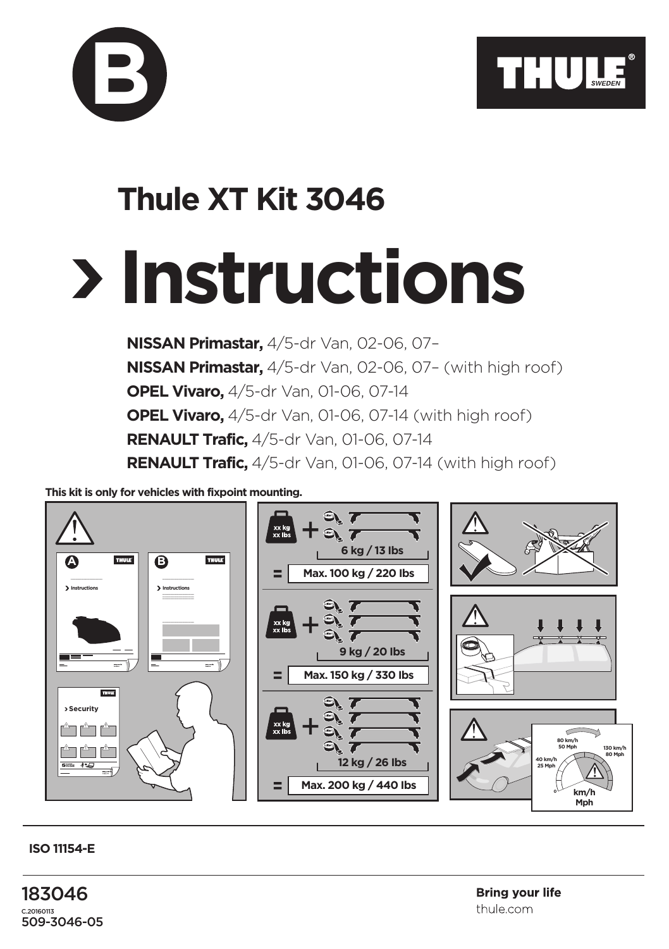

## **Instructions Thule XT Kit 3046**

**NISSAN Primastar,** 4/5-dr Van, 02-06, 07– **NISSAN Primastar,** 4/5-dr Van, 02-06, 07– (with high roof) **OPEL Vivaro,** 4/5-dr Van, 01-06, 07-14 **OPEL Vivaro,** 4/5-dr Van, 01-06, 07-14 (with high roof) **RENAULT Trafic,** 4/5-dr Van, 01-06, 07-14 **RENAULT Trafic,** 4/5-dr Van, 01-06, 07-14 (with high roof)

**This kit is only for vehicles with fixpoint mounting.**

**B**



## **ISO 11154-E**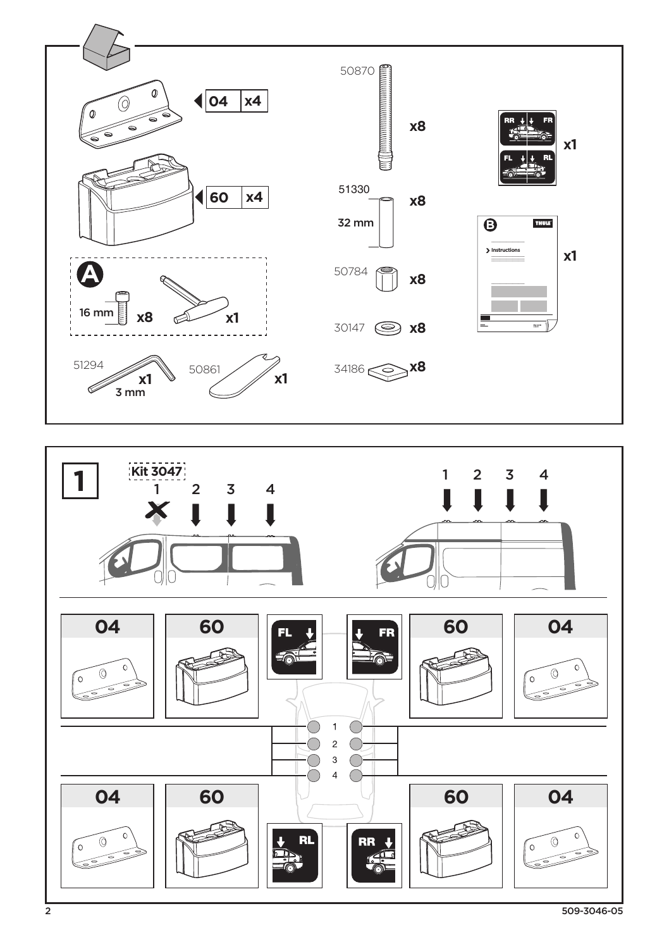



509-3046-05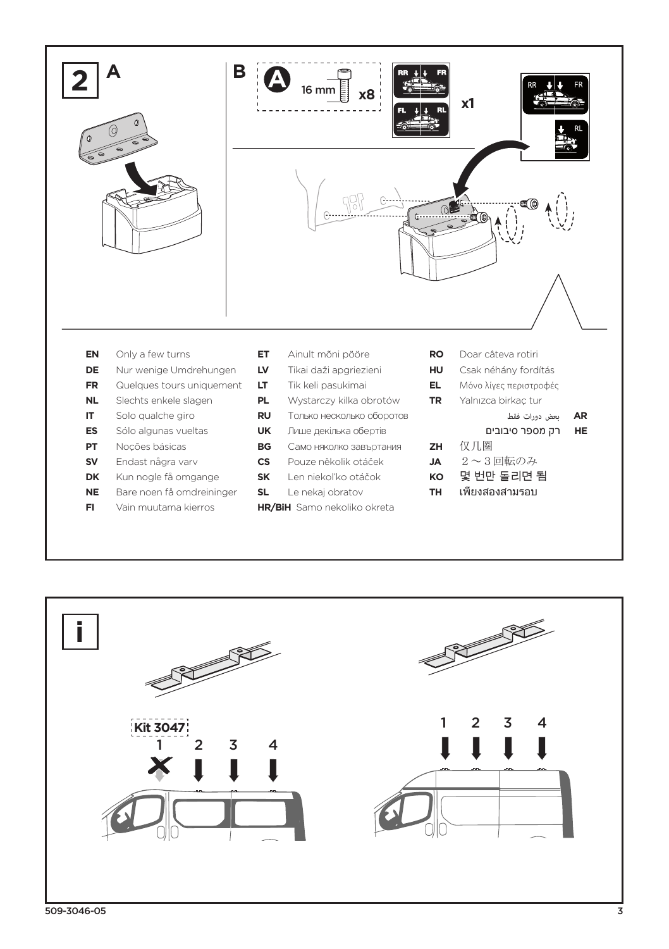